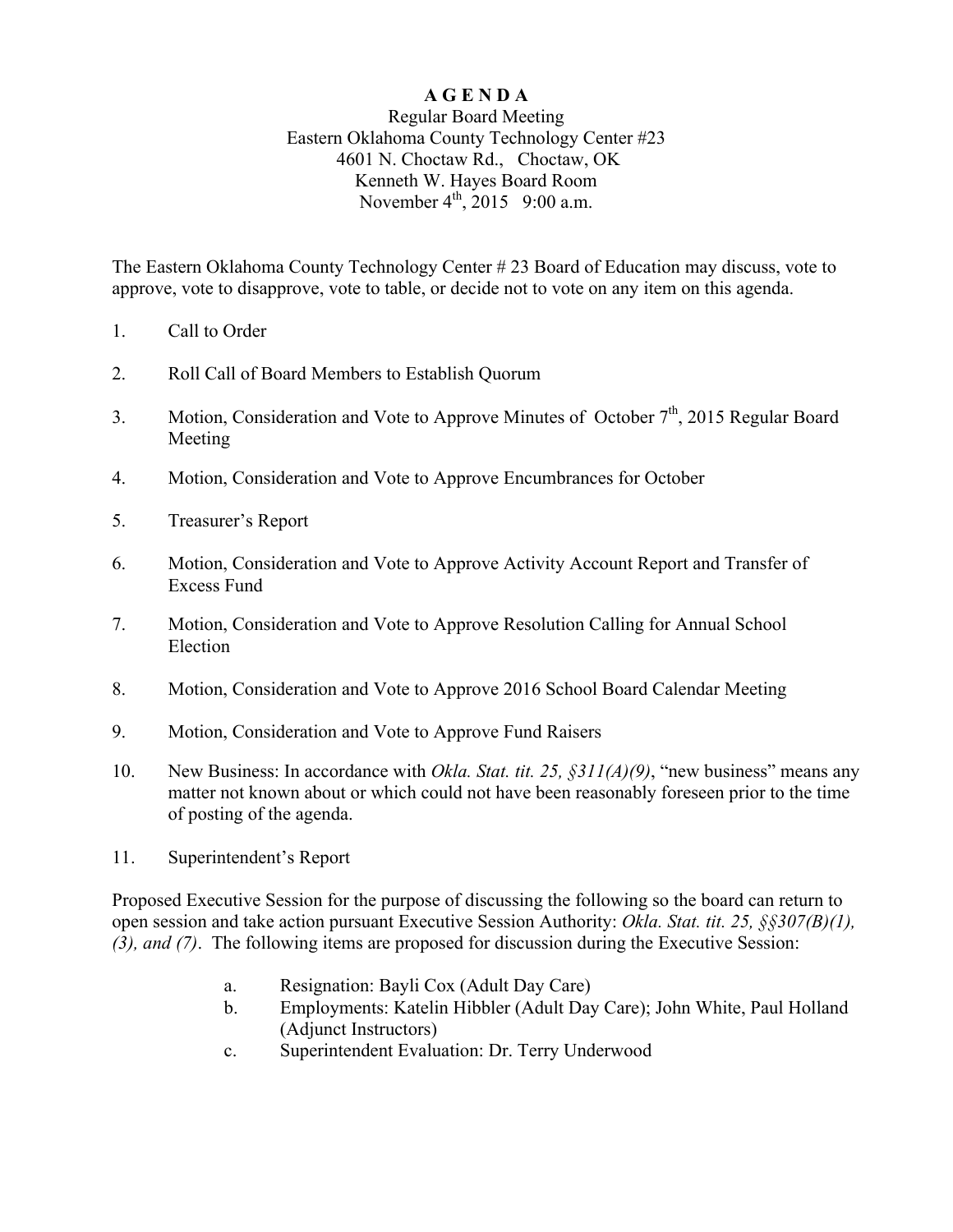## **A G E N D A**

## Regular Board Meeting Eastern Oklahoma County Technology Center #23 4601 N. Choctaw Rd., Choctaw, OK Kenneth W. Hayes Board Room November  $4^{th}$ , 2015 9:00 a.m.

The Eastern Oklahoma County Technology Center # 23 Board of Education may discuss, vote to approve, vote to disapprove, vote to table, or decide not to vote on any item on this agenda.

- 1. Call to Order
- 2. Roll Call of Board Members to Establish Quorum
- 3. Motion, Consideration and Vote to Approve Minutes of October  $7<sup>th</sup>$ , 2015 Regular Board Meeting
- 4. Motion, Consideration and Vote to Approve Encumbrances for October
- 5. Treasurer's Report
- 6. Motion, Consideration and Vote to Approve Activity Account Report and Transfer of Excess Fund
- 7. Motion, Consideration and Vote to Approve Resolution Calling for Annual School Election
- 8. Motion, Consideration and Vote to Approve 2016 School Board Calendar Meeting
- 9. Motion, Consideration and Vote to Approve Fund Raisers
- 10. New Business: In accordance with *Okla. Stat. tit. 25, §311(A)(9)*, "new business" means any matter not known about or which could not have been reasonably foreseen prior to the time of posting of the agenda.
- 11. Superintendent's Report

Proposed Executive Session for the purpose of discussing the following so the board can return to open session and take action pursuant Executive Session Authority: *Okla. Stat. tit. 25, §§307(B)(1), (3), and (7)*. The following items are proposed for discussion during the Executive Session:

- a. Resignation: Bayli Cox (Adult Day Care)
- b. Employments: Katelin Hibbler (Adult Day Care); John White, Paul Holland (Adjunct Instructors)
- c. Superintendent Evaluation: Dr. Terry Underwood